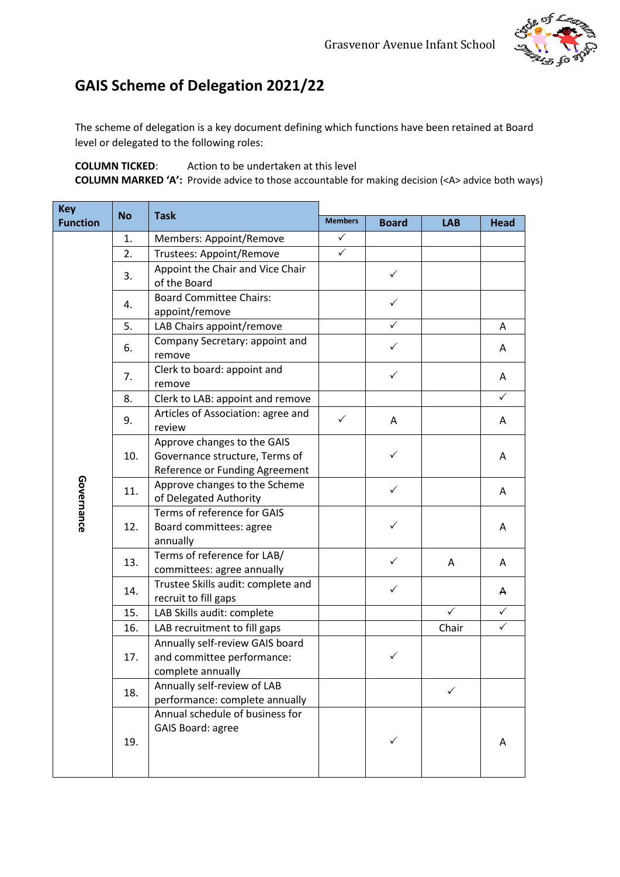

## **GAIS Scheme of Delegation 2021/22**

The scheme of delegation is a key document defining which functions have been retained at Board level or delegated to the following roles:

**COLUMN TICKED**: Action to be undertaken at this level

**COLUMN MARKED 'A':** Provide advice to those accountable for making decision (<A> advice both ways)

| <b>Key</b>      | <b>No</b> | <b>Task</b>                        | <b>Members</b> |              |              |              |
|-----------------|-----------|------------------------------------|----------------|--------------|--------------|--------------|
| <b>Function</b> |           |                                    |                | <b>Board</b> | <b>LAB</b>   | <b>Head</b>  |
|                 | 1.        | Members: Appoint/Remove            | ✓              |              |              |              |
|                 | 2.        | Trustees: Appoint/Remove           | $\checkmark$   |              |              |              |
|                 | 3.        | Appoint the Chair and Vice Chair   |                | $\checkmark$ |              |              |
|                 |           | of the Board                       |                |              |              |              |
|                 | 4.        | <b>Board Committee Chairs:</b>     |                | $\checkmark$ |              |              |
|                 |           | appoint/remove                     |                |              |              |              |
|                 | 5.        | LAB Chairs appoint/remove          |                | $\checkmark$ |              | Α            |
|                 | 6.        | Company Secretary: appoint and     |                | $\checkmark$ |              | A            |
|                 |           | remove                             |                |              |              |              |
|                 | 7.        | Clerk to board: appoint and        |                | ✓            |              | A            |
|                 |           | remove                             |                |              |              |              |
|                 | 8.        | Clerk to LAB: appoint and remove   |                |              |              | ✓            |
|                 | 9.        | Articles of Association: agree and | ✓              | A            |              | A            |
|                 |           | review                             |                |              |              |              |
|                 |           | Approve changes to the GAIS        |                |              |              |              |
|                 | 10.       | Governance structure, Terms of     |                | ✓            |              | A            |
|                 |           | Reference or Funding Agreement     |                |              |              |              |
|                 | 11.       | Approve changes to the Scheme      |                | $\checkmark$ |              | A            |
| Governance      |           | of Delegated Authority             |                |              |              |              |
|                 | 12.       | Terms of reference for GAIS        |                |              |              |              |
|                 |           | Board committees: agree            |                | $\checkmark$ |              | A            |
|                 |           | annually                           |                |              |              |              |
|                 | 13.       | Terms of reference for LAB/        |                | ✓            | A            | A            |
|                 |           | committees: agree annually         |                |              |              |              |
|                 | 14.       | Trustee Skills audit: complete and |                | $\checkmark$ |              | A            |
|                 |           | recruit to fill gaps               |                |              |              |              |
|                 | 15.       | LAB Skills audit: complete         |                |              | $\checkmark$ | $\checkmark$ |
|                 | 16.       | LAB recruitment to fill gaps       |                |              | Chair        | $\checkmark$ |
|                 | 17.       | Annually self-review GAIS board    |                |              |              |              |
|                 |           | and committee performance:         |                | ✓            |              |              |
|                 |           | complete annually                  |                |              |              |              |
|                 | 18.       | Annually self-review of LAB        |                |              | $\checkmark$ |              |
|                 |           | performance: complete annually     |                |              |              |              |
|                 |           | Annual schedule of business for    |                |              |              |              |
|                 | 19.       | <b>GAIS Board: agree</b>           |                |              |              |              |
|                 |           |                                    |                |              |              | A            |
|                 |           |                                    |                |              |              |              |
|                 |           |                                    |                |              |              |              |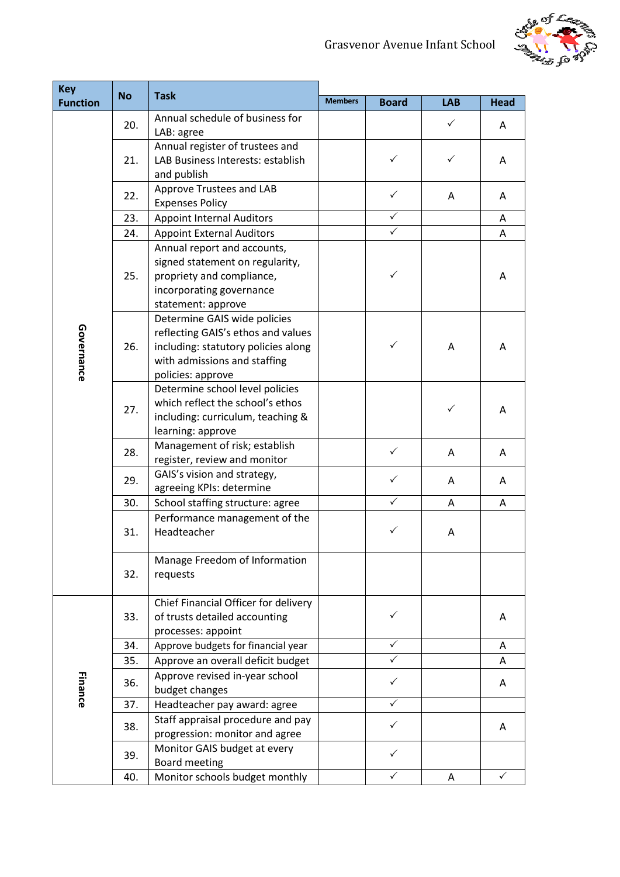

| <b>Key</b>      | <b>No</b> | <b>Task</b>                                                                                                                                                    |                |              |              |             |
|-----------------|-----------|----------------------------------------------------------------------------------------------------------------------------------------------------------------|----------------|--------------|--------------|-------------|
| <b>Function</b> |           |                                                                                                                                                                | <b>Members</b> | <b>Board</b> | <b>LAB</b>   | <b>Head</b> |
| Governance      | 20.       | Annual schedule of business for<br>LAB: agree                                                                                                                  |                |              | $\checkmark$ | A           |
|                 | 21.       | Annual register of trustees and<br>LAB Business Interests: establish<br>and publish                                                                            |                | ✓            | ✓            | A           |
|                 | 22.       | Approve Trustees and LAB<br><b>Expenses Policy</b>                                                                                                             |                | $\checkmark$ | Α            | A           |
|                 | 23.       | <b>Appoint Internal Auditors</b>                                                                                                                               |                | ✓            |              | A           |
|                 | 24.       | <b>Appoint External Auditors</b>                                                                                                                               |                | $\checkmark$ |              | A           |
|                 | 25.       | Annual report and accounts,<br>signed statement on regularity,<br>propriety and compliance,<br>incorporating governance<br>statement: approve                  |                | $\checkmark$ |              | A           |
|                 | 26.       | Determine GAIS wide policies<br>reflecting GAIS's ethos and values<br>including: statutory policies along<br>with admissions and staffing<br>policies: approve |                | ✓            | A            | A           |
|                 | 27.       | Determine school level policies<br>which reflect the school's ethos<br>including: curriculum, teaching &<br>learning: approve                                  |                |              | ✓            | A           |
|                 | 28.       | Management of risk; establish<br>register, review and monitor                                                                                                  |                | $\checkmark$ | A            | A           |
|                 | 29.       | GAIS's vision and strategy,<br>agreeing KPIs: determine                                                                                                        |                | ✓            | A            | A           |
|                 | 30.       | School staffing structure: agree                                                                                                                               |                | $\checkmark$ | A            | A           |
|                 | 31.       | Performance management of the<br>Headteacher                                                                                                                   |                | ✓            | A            |             |
|                 | 32.       | Manage Freedom of Information<br>requests                                                                                                                      |                |              |              |             |
|                 | 33.       | Chief Financial Officer for delivery<br>of trusts detailed accounting<br>processes: appoint                                                                    |                | ✓            |              | Α           |
|                 | 34.       | Approve budgets for financial year                                                                                                                             |                | $\checkmark$ |              | A           |
|                 | 35.       | Approve an overall deficit budget                                                                                                                              |                | $\checkmark$ |              | A           |
| Finance         | 36.       | Approve revised in-year school<br>budget changes                                                                                                               |                | $\checkmark$ |              | A           |
|                 | 37.       | Headteacher pay award: agree                                                                                                                                   |                | $\checkmark$ |              |             |
|                 | 38.       | Staff appraisal procedure and pay<br>progression: monitor and agree                                                                                            |                | $\checkmark$ |              | A           |
|                 | 39.       | Monitor GAIS budget at every<br><b>Board meeting</b>                                                                                                           |                | ✓            |              |             |
|                 | 40.       | Monitor schools budget monthly                                                                                                                                 |                | $\checkmark$ | A            | ✓           |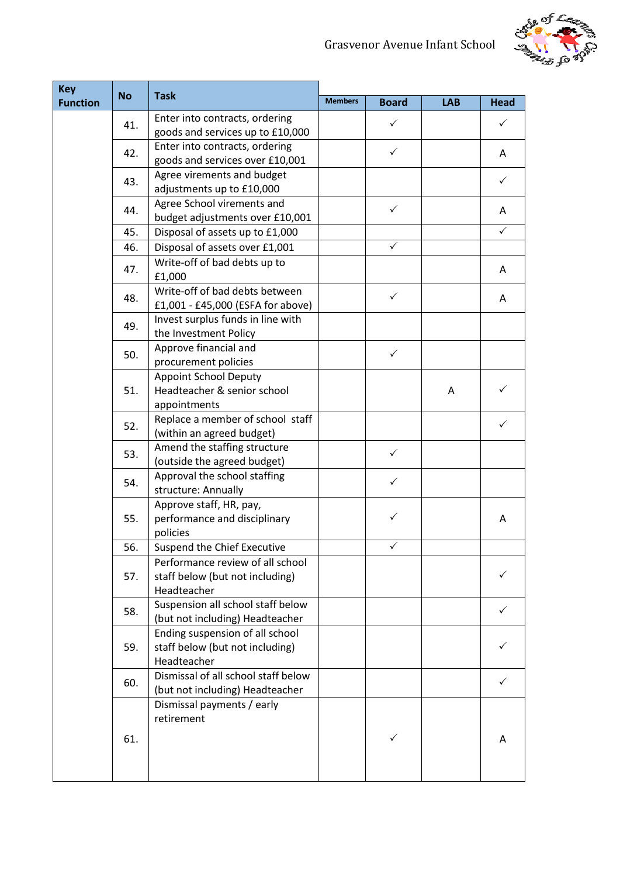

| <b>Key</b><br><b>Function</b> | <b>No</b> | <b>Task</b>                                                 | <b>Members</b> | <b>Board</b> | <b>LAB</b> | <b>Head</b>  |
|-------------------------------|-----------|-------------------------------------------------------------|----------------|--------------|------------|--------------|
|                               |           | Enter into contracts, ordering                              |                |              |            |              |
|                               | 41.       | goods and services up to £10,000                            |                | ✓            |            | ✓            |
|                               |           | Enter into contracts, ordering                              |                | $\checkmark$ |            |              |
|                               | 42.       | goods and services over £10,001                             |                |              |            | A            |
|                               | 43.       | Agree virements and budget                                  |                |              |            | ✓            |
|                               |           | adjustments up to £10,000                                   |                |              |            |              |
|                               | 44.       | Agree School virements and                                  |                | ✓            |            | A            |
|                               |           | budget adjustments over £10,001                             |                |              |            |              |
|                               | 45.       | Disposal of assets up to £1,000                             |                |              |            | $\checkmark$ |
|                               | 46.       | Disposal of assets over £1,001                              |                | $\checkmark$ |            |              |
|                               | 47.       | Write-off of bad debts up to                                |                |              |            | A            |
|                               |           | £1,000                                                      |                |              |            |              |
|                               | 48.       | Write-off of bad debts between                              |                | ✓            |            | A            |
|                               |           | £1,001 - £45,000 (ESFA for above)                           |                |              |            |              |
|                               | 49.       | Invest surplus funds in line with                           |                |              |            |              |
|                               |           | the Investment Policy                                       |                |              |            |              |
|                               | 50.       | Approve financial and                                       |                | $\checkmark$ |            |              |
|                               |           | procurement policies                                        |                |              |            |              |
|                               |           | <b>Appoint School Deputy</b>                                |                |              |            |              |
|                               | 51.       | Headteacher & senior school                                 |                |              | A          |              |
|                               |           | appointments                                                |                |              |            |              |
|                               | 52.       | Replace a member of school staff                            |                |              |            | ✓            |
|                               |           | (within an agreed budget)                                   |                |              |            |              |
|                               | 53.       | Amend the staffing structure<br>(outside the agreed budget) |                | $\checkmark$ |            |              |
|                               |           | Approval the school staffing                                |                |              |            |              |
|                               | 54.       | structure: Annually                                         |                | $\checkmark$ |            |              |
|                               |           | Approve staff, HR, pay,                                     |                |              |            |              |
|                               | 55.       | performance and disciplinary                                |                | ✓            |            | A            |
|                               |           | policies                                                    |                |              |            |              |
|                               | 56.       | Suspend the Chief Executive                                 |                |              |            |              |
|                               |           | Performance review of all school                            |                |              |            |              |
|                               | 57.       | staff below (but not including)                             |                |              |            |              |
|                               |           | Headteacher                                                 |                |              |            |              |
|                               | 58.       | Suspension all school staff below                           |                |              |            |              |
|                               |           | (but not including) Headteacher                             |                |              |            |              |
|                               | 59.       | Ending suspension of all school                             |                |              |            |              |
|                               |           | staff below (but not including)                             |                |              |            |              |
|                               |           | Headteacher                                                 |                |              |            |              |
|                               | 60.       | Dismissal of all school staff below                         |                |              |            | ✓            |
|                               |           | (but not including) Headteacher                             |                |              |            |              |
|                               |           | Dismissal payments / early                                  |                |              |            |              |
|                               |           | retirement                                                  |                |              |            |              |
|                               | 61.       |                                                             |                | ✓            |            | A            |
|                               |           |                                                             |                |              |            |              |
|                               |           |                                                             |                |              |            |              |
|                               |           |                                                             |                |              |            |              |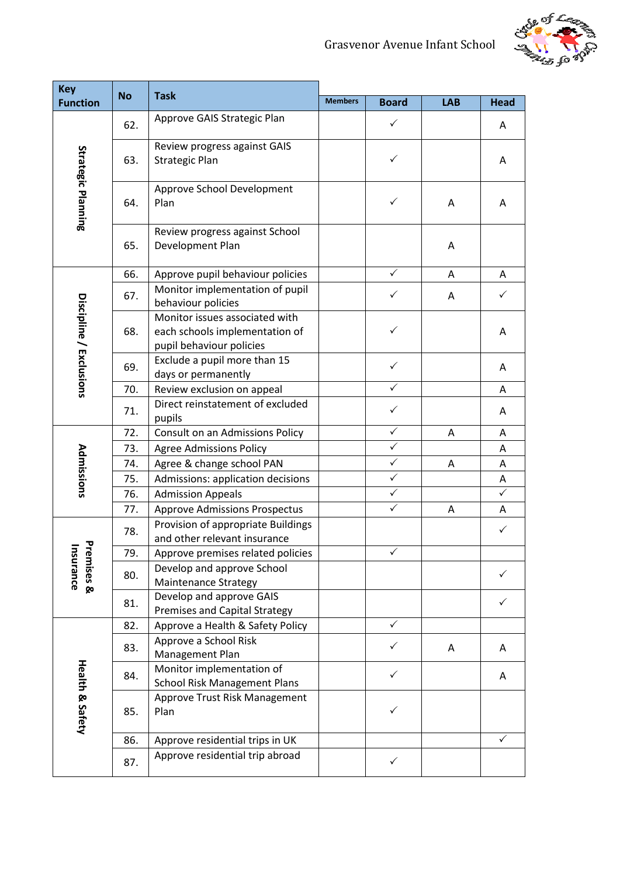

| <b>Key</b>                        | <b>No</b> | <b>Task</b>                                                                                  |                |              |            |              |
|-----------------------------------|-----------|----------------------------------------------------------------------------------------------|----------------|--------------|------------|--------------|
| <b>Function</b>                   |           |                                                                                              | <b>Members</b> | <b>Board</b> | <b>LAB</b> | <b>Head</b>  |
| <b>Strategic Planning</b>         | 62.       | Approve GAIS Strategic Plan                                                                  |                | ✓            |            | A            |
|                                   | 63.       | Review progress against GAIS<br><b>Strategic Plan</b>                                        |                | ✓            |            | A            |
|                                   | 64.       | Approve School Development<br>Plan                                                           |                | ✓            | A          | Α            |
|                                   | 65.       | Review progress against School<br>Development Plan                                           |                |              | Α          |              |
|                                   | 66.       | Approve pupil behaviour policies                                                             |                | ✓            | A          | A            |
|                                   | 67.       | Monitor implementation of pupil<br>behaviour policies                                        |                | ✓            | A          | ✓            |
| Discipline / Exclusions           | 68.       | Monitor issues associated with<br>each schools implementation of<br>pupil behaviour policies |                | ✓            |            | Α            |
|                                   | 69.       | Exclude a pupil more than 15<br>days or permanently                                          |                | $\checkmark$ |            | A            |
|                                   | 70.       | Review exclusion on appeal                                                                   |                | $\checkmark$ |            | A            |
|                                   | 71.       | Direct reinstatement of excluded<br>pupils                                                   |                | ✓            |            | A            |
|                                   | 72.       | Consult on an Admissions Policy                                                              |                | $\checkmark$ | Α          | Α            |
|                                   | 73.       | <b>Agree Admissions Policy</b>                                                               |                | ✓            |            | A            |
|                                   | 74.       | Agree & change school PAN                                                                    |                | $\checkmark$ | A          | Α            |
| Admissions                        | 75.       | Admissions: application decisions                                                            |                | $\checkmark$ |            | A            |
|                                   | 76.       | <b>Admission Appeals</b>                                                                     |                | $\checkmark$ |            | $\checkmark$ |
|                                   | 77.       | <b>Approve Admissions Prospectus</b>                                                         |                | $\checkmark$ | A          | A            |
|                                   | 78.       | Provision of appropriate Buildings<br>and other relevant insurance                           |                |              |            | ✓            |
|                                   | 79.       | Approve premises related policies                                                            |                | $\checkmark$ |            |              |
| <b>remises &amp;</b><br>Insurance | 80.       | Develop and approve School<br><b>Maintenance Strategy</b>                                    |                |              |            |              |
|                                   | 81.       | Develop and approve GAIS<br><b>Premises and Capital Strategy</b>                             |                |              |            |              |
|                                   | 82.       | Approve a Health & Safety Policy                                                             |                | $\checkmark$ |            |              |
|                                   | 83.       | Approve a School Risk<br>Management Plan                                                     |                | $\checkmark$ | A          | A            |
| <b>Health &amp; Safety</b>        | 84.       | Monitor implementation of<br><b>School Risk Management Plans</b>                             |                | ✓            |            | A            |
|                                   | 85.       | Approve Trust Risk Management<br>Plan                                                        |                | ✓            |            |              |
|                                   | 86.       | Approve residential trips in UK                                                              |                |              |            | ✓            |
|                                   | 87.       | Approve residential trip abroad                                                              |                | $\checkmark$ |            |              |